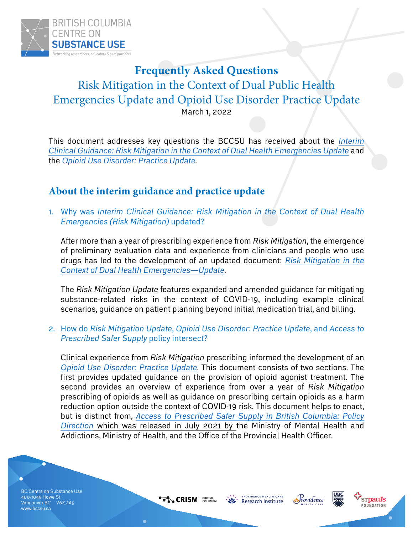

## **Frequently Asked Questions**

Risk Mitigation in the Context of Dual Public Health Emergencies Update and Opioid Use Disorder Practice Update March 1, 2022

This document addresses key questions the BCCSU has received about the *Interim Clinical Guidance: Risk Mitigation in the Context of Dual Health Emergencies Update* and the *Opioid Use Disorder: Practice Update*.

## **About the interim guidance and practice update**

1. Why was *Interim Clinical Guidance: Risk Mitigation in the Context of Dual Health Emergencies (Risk Mitigation)* updated?

After more than a year of prescribing experience from *Risk Mitigation*, the emergence of preliminary evaluation data and experience from clinicians and people who use drugs has led to the development of an updated document: *Risk Mitigation in the Context of Dual Health Emergencies—Update*.

The *Risk Mitigation Update* features expanded and amended guidance for mitigating substance-related risks in the context of COVID-19, including example clinical scenarios, guidance on patient planning beyond initial medication trial, and billing.

2. How do *Risk Mitigation Update*, *Opioid Use Disorder: Practice Update*, and *Access to Prescribed Safer Supply* policy intersect?

Clinical experience from *Risk Mitigation* prescribing informed the development of an *Opioid Use Disorder: Practice Update*. This document consists of two sections. The first provides updated guidance on the provision of opioid agonist treatment. The second provides an overview of experience from over a year of *Risk Mitigation* prescribing of opioids as well as guidance on prescribing certain opioids as a harm reduction option outside the context of COVID-19 risk. This document helps to enact, but is distinct from, *Access to Prescribed Safer Supply in British Columbia: Policy Direction* which was released in July 2021 by the Ministry of Mental Health and Addictions, Ministry of Health, and the Office of the Provincial Health Officer.

BC Centre on Substance Use 400-1045 Howe St Vancouver BC V6Z 2A9 www.bccsu.ca

**CRISM** | BRITISH

PROVIDENCE HEALTH CARE **Research Institute** 



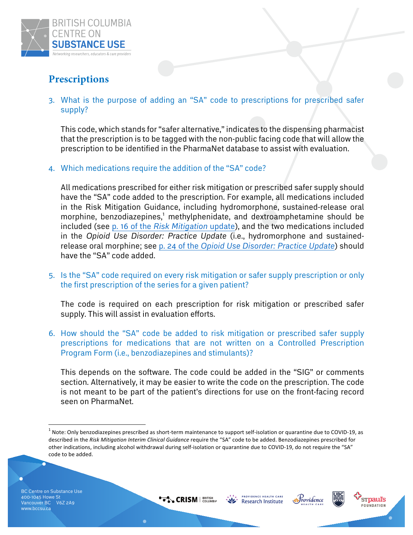

## **Prescriptions**

3. What is the purpose of adding an "SA" code to prescriptions for prescribed safer supply?

This code, which stands for "safer alternative," indicates to the dispensing pharmacist that the prescription is to be tagged with the non-public facing code that will allow the prescription to be identified in the PharmaNet database to assist with evaluation.

4. Which medications require the addition of the "SA" code?

All medications prescribed for either risk mitigation or prescribed safer supply should have the "SA" code added to the prescription. For example, all medications included in the Risk Mitigation Guidance, including hydromorphone, sustained-release oral morphine, benzodiazepines,<sup>1</sup> methylphenidate, and dextroamphetamine should be included (see p. 16 of the *Risk Mitigation* update), and the two medications included in the *Opioid Use Disorder: Practice Update* (i.e., hydromorphone and sustainedrelease oral morphine; see p. 24 of the *Opioid Use Disorder: Practice Update*) should have the "SA" code added.

5. Is the "SA" code required on every risk mitigation or safer supply prescription or only the first prescription of the series for a given patient?

The code is required on each prescription for risk mitigation or prescribed safer supply. This will assist in evaluation efforts.

6. How should the "SA" code be added to risk mitigation or prescribed safer supply prescriptions for medications that are not written on a Controlled Prescription Program Form (i.e., benzodiazepines and stimulants)?

This depends on the software. The code could be added in the "SIG" or comments section. Alternatively, it may be easier to write the code on the prescription. The code is not meant to be part of the patient's directions for use on the front-facing record seen on PharmaNet.









 $<sup>1</sup>$  Note: Only benzodiazepines prescribed as short-term maintenance to support self-isolation or quarantine due to COVID-19, as</sup> described in the Risk Mitigation Interim Clinical Guidance require the "SA" code to be added. Benzodiazepines prescribed for other indications, including alcohol withdrawal during self-isolation or quarantine due to COVID-19, do not require the "SA" code to be added.